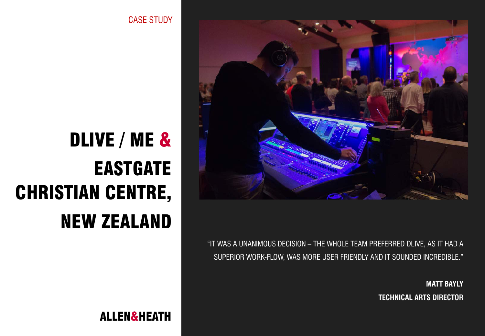CASE STUDY

# DLIVE / ME & EASTGATE CHRISTIAN CENTRE, NEW ZEALAND



"IT WAS A UNANIMOUS DECISION – THE WHOLE TEAM PREFERRED DLIVE, AS IT HAD A SUPERIOR WORK-FLOW, WAS MORE USER FRIENDLY AND IT SOUNDED INCREDIBLE."

> **MATT BAYLY TECHNICAL ARTS DIRECTOR**

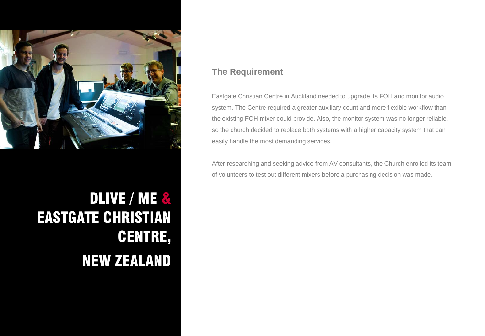

## DLIVE / ME & EASTGATE CHRISTIAN CENTRE, NEW ZEALAND

### **The Requirement**

Eastgate Christian Centre in Auckland needed to upgrade its FOH and monitor audio system. The Centre required a greater auxiliary count and more flexible workflow than the existing FOH mixer could provide. Also, the monitor system was no longer reliable, so the church decided to replace both systems with a higher capacity system that can easily handle the most demanding services.

After researching and seeking advice from AV consultants, the Church enrolled its team of volunteers to test out different mixers before a purchasing decision was made.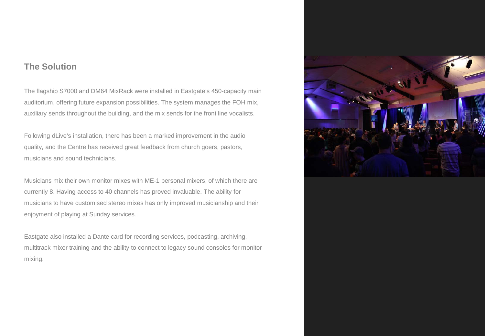#### **The Solution**

The flagship S7000 and DM64 MixRack were installed in Eastgate's 450-capacity main auditorium, offering future expansion possibilities. The system manages the FOH mix, auxiliary sends throughout the building, and the mix sends for the front line vocalists.

Following dLive's installation, there has been a marked improvement in the audio quality, and the Centre has received great feedback from church goers, pastors, musicians and sound technicians.

Musicians mix their own monitor mixes with ME-1 personal mixers, of which there are currently 8. Having access to 40 channels has proved invaluable. The ability for musicians to have customised stereo mixes has only improved musicianship and their enjoyment of playing at Sunday services..

Eastgate also installed a Dante card for recording services, podcasting, archiving, multitrack mixer training and the ability to connect to legacy sound consoles for monitor mixing.